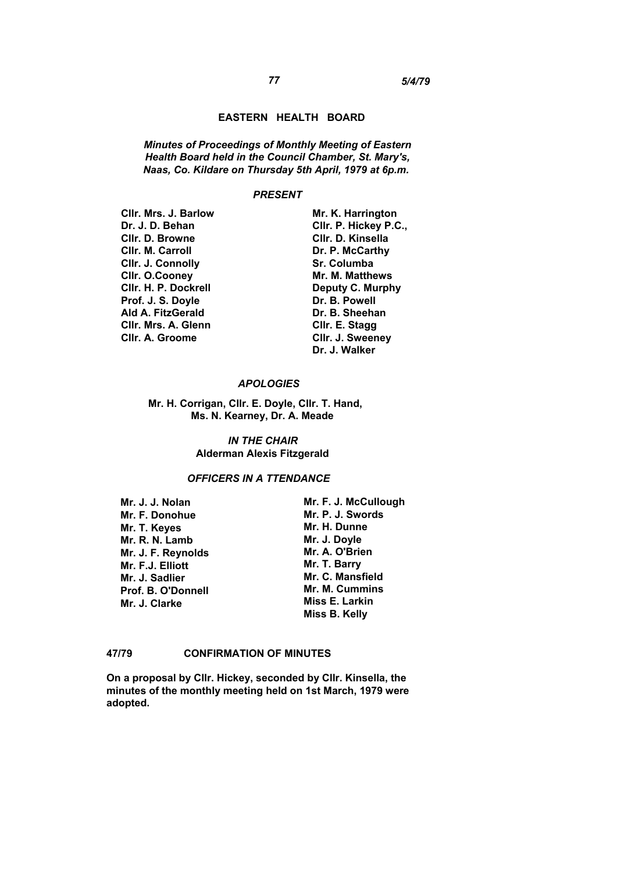#### **EASTERN HEALTH BOARD**

*Minutes of Proceedings of Monthly Meeting of Eastern Health Board held in the Council Chamber, St. Mary's, Naas, Co. Kildare on Thursday 5th April, 1979 at 6p.m.*

#### *PRESENT*

**Cllr. Mrs. J. Barlow Dr. J. D. Behan Cllr. D. Browne Cllr. M. Carroll Cllr. J. Connolly Cllr. O.Cooney Cllr. H. P. Dockrell Prof. J. S. Doyle Ald A. FitzGerald Cllr. Mrs. A. Glenn Cllr. A. Groome** 

**Mr. K. Harrington Cllr. P. Hickey P.C., Cllr. D. Kinsella Dr. P. McCarthy Sr. Columba Mr. M. Matthews Deputy C. Murphy Dr. B. Powell Dr. B. Sheehan Cllr. E. Stagg Cllr. J. Sweeney Dr. J. Walker** 

## *APOLOGIES*

**Mr. H. Corrigan, Cllr. E. Doyle, Cllr. T. Hand, Ms. N. Kearney, Dr. A. Meade** 

> *IN THE CHAIR*  **Alderman Alexis Fitzgerald**

## *OFFICERS IN A TTENDANCE*

**Mr. J. J. Nolan Mr. F. Donohue Mr. T. Keyes Mr. R. N. Lamb Mr. J. F. Reynolds Mr. F.J. Elliott Mr. J. Sadlier Prof. B. O'Donnell Mr. J. Clarke** 

**Mr. F. J. McCullough Mr. P. J. Swords Mr. H. Dunne Mr. J. Doyle Mr. A. O'Brien Mr. T. Barry Mr. C. Mansfield Mr. M. Cummins Miss E. Larkin Miss B. Kelly** 

## **47/79 CONFIRMATION OF MINUTES**

**On a proposal by Cllr. Hickey, seconded by Cllr. Kinsella, the minutes of the monthly meeting held on 1st March, 1979 were adopted.**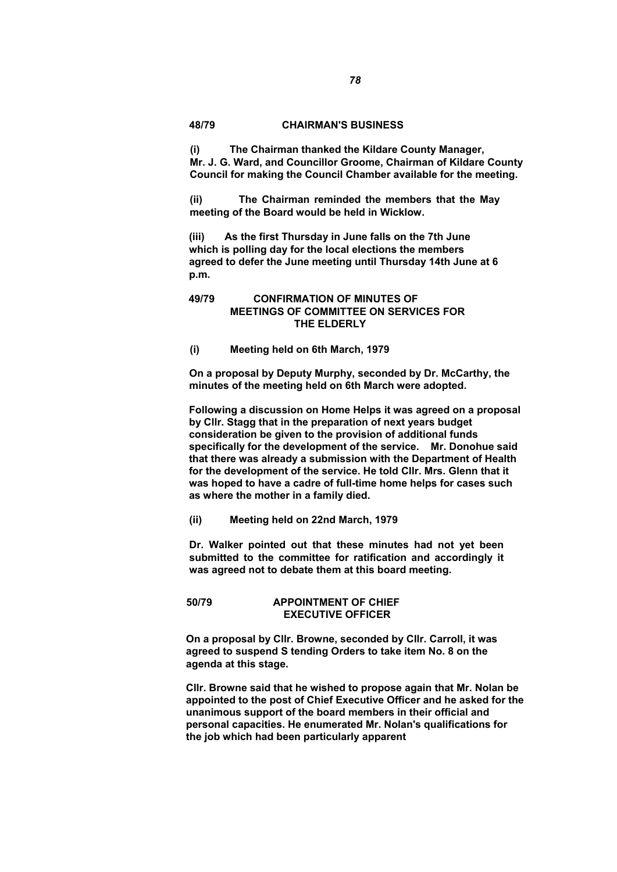### **48/79 CHAIRMAN'S BUSINESS**

**(i) The Chairman thanked the Kildare County Manager, Mr. J. G. Ward, and Councillor Groome, Chairman of Kildare County Council for making the Council Chamber available for the meeting.** 

**(ii) The Chairman reminded the members that the May meeting of the Board would be held in Wicklow.** 

**(iii) As the first Thursday in June falls on the 7th June which is polling day for the local elections the members agreed to defer the June meeting until Thursday 14th June at 6 p.m.** 

# **49/79 CONFIRMATION OF MINUTES OF MEETINGS OF COMMITTEE ON SERVICES FOR THE ELDERLY**

**(i) Meeting held on 6th March, 1979** 

**On a proposal by Deputy Murphy, seconded by Dr. McCarthy, the minutes of the meeting held on 6th March were adopted.** 

**Following a discussion on Home Helps it was agreed on a proposal by Cllr. Stagg that in the preparation of next years budget consideration be given to the provision of additional funds specifically for the development of the service. Mr. Donohue said that there was already a submission with the Department of Health for the development of the service. He told Cllr. Mrs. Glenn that it was hoped to have a cadre of full-time home helps for cases such as where the mother in a family died.** 

**(ii) Meeting held on 22nd March, 1979** 

**Dr. Walker pointed out that these minutes had not yet been submitted to the committee for ratification and accordingly it was agreed not to debate them at this board meeting.** 

**50/79 APPOINTMENT OF CHIEF EXECUTIVE OFFICER** 

**On a proposal by Cllr. Browne, seconded by Cllr. Carroll, it was agreed to suspend S tending Orders to take item No. 8 on the agenda at this stage.** 

**Cllr. Browne said that he wished to propose again that Mr. Nolan be appointed to the post of Chief Executive Officer and he asked for the unanimous support of the board members in their official and personal capacities. He enumerated Mr. Nolan's qualifications for the job which had been particularly apparent**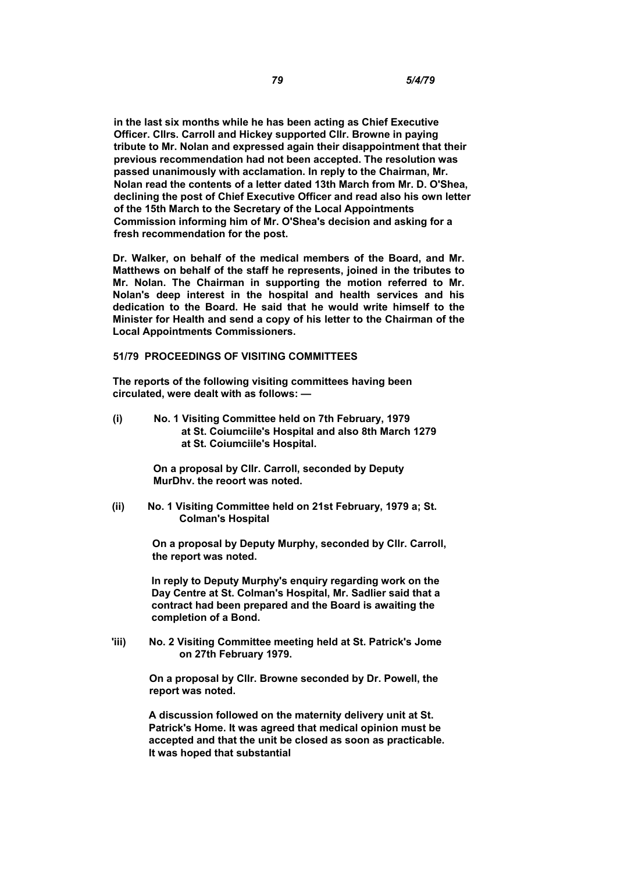**in the last six months while he has been acting as Chief Executive Officer. Cllrs. Carroll and Hickey supported Cllr. Browne in paying tribute to Mr. Nolan and expressed again their disappointment that their previous recommendation had not been accepted. The resolution was passed unanimously with acclamation. In reply to the Chairman, Mr. Nolan read the contents of a letter dated 13th March from Mr. D. O'Shea, declining the post of Chief Executive Officer and read also his own letter of the 15th March to the Secretary of the Local Appointments Commission informing him of Mr. O'Shea's decision and asking for a fresh recommendation for the post.** 

**Dr. Walker, on behalf of the medical members of the Board, and Mr. Matthews on behalf of the staff he represents, joined in the tributes to Mr. Nolan. The Chairman in supporting the motion referred to Mr. Nolan's deep interest in the hospital and health services and his dedication to the Board. He said that he would write himself to the Minister for Health and send a copy of his letter to the Chairman of the Local Appointments Commissioners.** 

## **51/79 PROCEEDINGS OF VISITING COMMITTEES**

**The reports of the following visiting committees having been circulated, were dealt with as follows: —** 

**(i) No. 1 Visiting Committee held on 7th February, 1979 at St. Coiumciile's Hospital and also 8th March 1279 at St. Coiumciile's Hospital.** 

> **On a proposal by Cllr. Carroll, seconded by Deputy MurDhv. the reoort was noted.**

**(ii) No. 1 Visiting Committee held on 21st February, 1979 a; St. Colman's Hospital** 

> **On a proposal by Deputy Murphy, seconded by Cllr. Carroll, the report was noted.**

**In reply to Deputy Murphy's enquiry regarding work on the Day Centre at St. Colman's Hospital, Mr. Sadlier said that a contract had been prepared and the Board is awaiting the completion of a Bond.** 

**'iii) No. 2 Visiting Committee meeting held at St. Patrick's Jome on 27th February 1979.** 

> **On a proposal by Cllr. Browne seconded by Dr. Powell, the report was noted.**

**A discussion followed on the maternity delivery unit at St. Patrick's Home. It was agreed that medical opinion must be accepted and that the unit be closed as soon as practicable. It was hoped that substantial**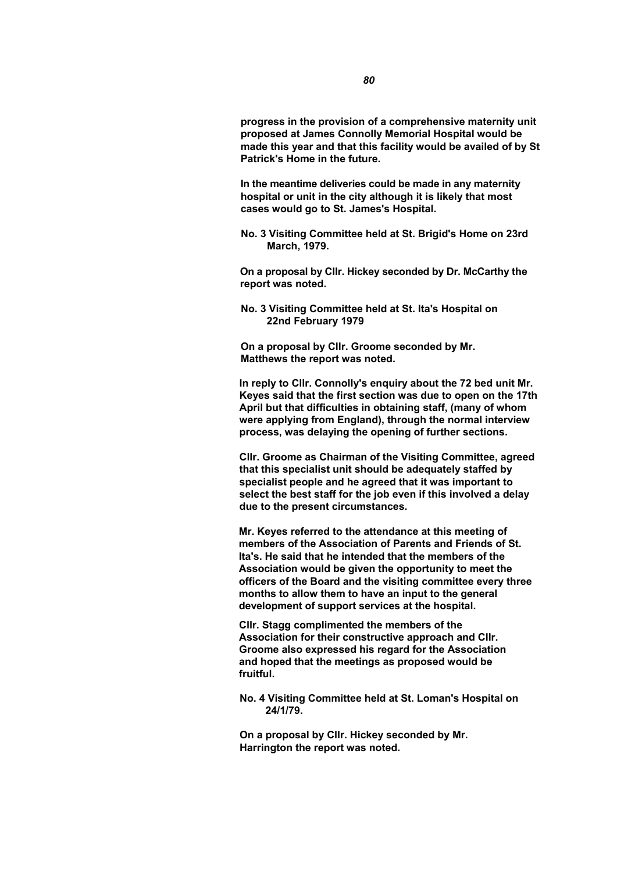**progress in the provision of a comprehensive maternity unit proposed at James Connolly Memorial Hospital would be made this year and that this facility would be availed of by St Patrick's Home in the future.** 

**In the meantime deliveries could be made in any maternity hospital or unit in the city although it is likely that most cases would go to St. James's Hospital.** 

**No. 3 Visiting Committee held at St. Brigid's Home on 23rd March, 1979.** 

**On a proposal by Cllr. Hickey seconded by Dr. McCarthy the report was noted.** 

**No. 3 Visiting Committee held at St. Ita's Hospital on 22nd February 1979** 

**On a proposal by Cllr. Groome seconded by Mr. Matthews the report was noted.** 

**In reply to Cllr. Connolly's enquiry about the 72 bed unit Mr. Keyes said that the first section was due to open on the 17th April but that difficulties in obtaining staff, (many of whom were applying from England), through the normal interview process, was delaying the opening of further sections.** 

**Cllr. Groome as Chairman of the Visiting Committee, agreed that this specialist unit should be adequately staffed by specialist people and he agreed that it was important to select the best staff for the job even if this involved a delay due to the present circumstances.** 

**Mr. Keyes referred to the attendance at this meeting of members of the Association of Parents and Friends of St. Ita's. He said that he intended that the members of the Association would be given the opportunity to meet the officers of the Board and the visiting committee every three months to allow them to have an input to the general development of support services at the hospital.** 

**Cllr. Stagg complimented the members of the Association for their constructive approach and Cllr. Groome also expressed his regard for the Association and hoped that the meetings as proposed would be fruitful.** 

**No. 4 Visiting Committee held at St. Loman's Hospital on 24/1/79.** 

**On a proposal by Cllr. Hickey seconded by Mr. Harrington the report was noted.**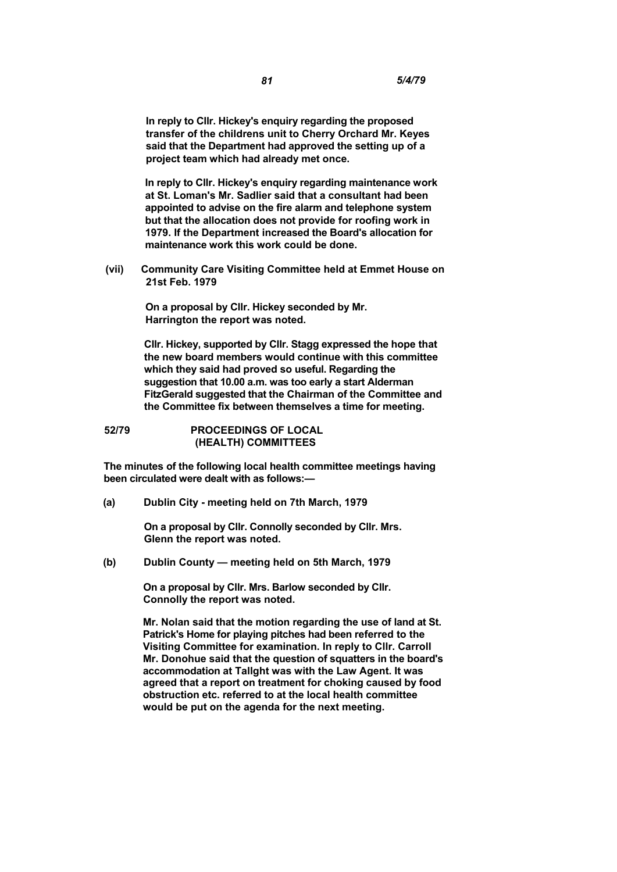**In reply to Cllr. Hickey's enquiry regarding the proposed transfer of the childrens unit to Cherry Orchard Mr. Keyes said that the Department had approved the setting up of a project team which had already met once.** 

**In reply to Cllr. Hickey's enquiry regarding maintenance work at St. Loman's Mr. Sadlier said that a consultant had been appointed to advise on the fire alarm and telephone system but that the allocation does not provide for roofing work in 1979. If the Department increased the Board's allocation for maintenance work this work could be done.** 

**(vii) Community Care Visiting Committee held at Emmet House on 21st Feb. 1979** 

> **On a proposal by Cllr. Hickey seconded by Mr. Harrington the report was noted.**

**Cllr. Hickey, supported by Cllr. Stagg expressed the hope that the new board members would continue with this committee which they said had proved so useful. Regarding the suggestion that 10.00 a.m. was too early a start Alderman FitzGerald suggested that the Chairman of the Committee and the Committee fix between themselves a time for meeting.** 

**52/79 PROCEEDINGS OF LOCAL (HEALTH) COMMITTEES** 

**The minutes of the following local health committee meetings having been circulated were dealt with as follows:—** 

**(a) Dublin City - meeting held on 7th March, 1979** 

**On a proposal by Cllr. Connolly seconded by Cllr. Mrs. Glenn the report was noted.** 

**(b) Dublin County — meeting held on 5th March, 1979** 

**On a proposal by Cllr. Mrs. Barlow seconded by Cllr. Connolly the report was noted.** 

**Mr. Nolan said that the motion regarding the use of land at St. Patrick's Home for playing pitches had been referred to the Visiting Committee for examination. In reply to Cllr. Carroll Mr. Donohue said that the question of squatters in the board's accommodation at Tallght was with the Law Agent. It was agreed that a report on treatment for choking caused by food obstruction etc. referred to at the local health committee would be put on the agenda for the next meeting.**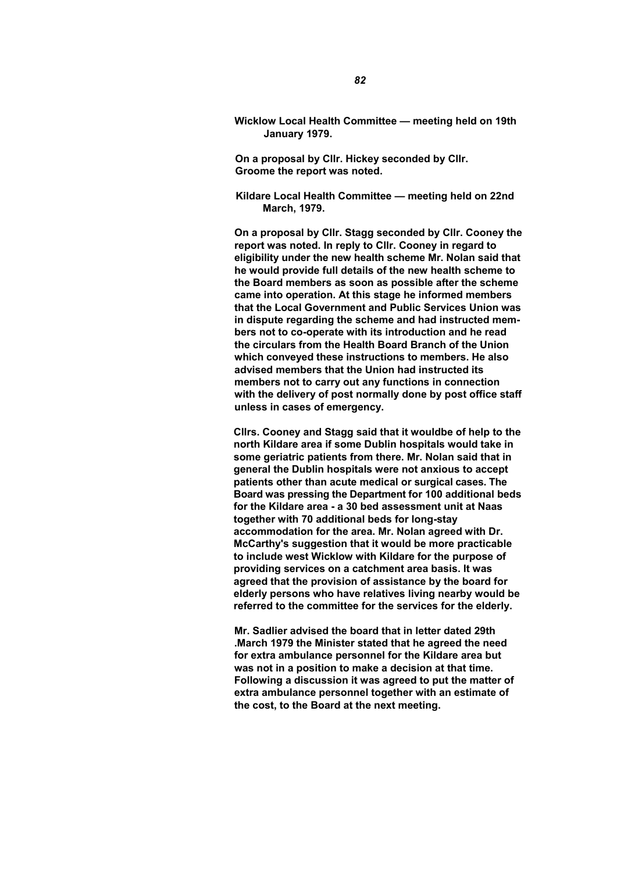**Wicklow Local Health Committee — meeting held on 19th January 1979.** 

**On a proposal by Cllr. Hickey seconded by Cllr. Groome the report was noted.** 

**Kildare Local Health Committee — meeting held on 22nd March, 1979.** 

**On a proposal by Cllr. Stagg seconded by Cllr. Cooney the report was noted. In reply to Cllr. Cooney in regard to eligibility under the new health scheme Mr. Nolan said that he would provide full details of the new health scheme to the Board members as soon as possible after the scheme came into operation. At this stage he informed members that the Local Government and Public Services Union was in dispute regarding the scheme and had instructed members not to co-operate with its introduction and he read the circulars from the Health Board Branch of the Union which conveyed these instructions to members. He also advised members that the Union had instructed its members not to carry out any functions in connection with the delivery of post normally done by post office staff unless in cases of emergency.** 

**Cllrs. Cooney and Stagg said that it wouldbe of help to the north Kildare area if some Dublin hospitals would take in some geriatric patients from there. Mr. Nolan said that in general the Dublin hospitals were not anxious to accept patients other than acute medical or surgical cases. The Board was pressing the Department for 100 additional beds for the Kildare area - a 30 bed assessment unit at Naas together with 70 additional beds for long-stay accommodation for the area. Mr. Nolan agreed with Dr. McCarthy's suggestion that it would be more practicable to include west Wicklow with Kildare for the purpose of providing services on a catchment area basis. It was agreed that the provision of assistance by the board for elderly persons who have relatives living nearby would be referred to the committee for the services for the elderly.** 

**Mr. Sadlier advised the board that in letter dated 29th .March 1979 the Minister stated that he agreed the need for extra ambulance personnel for the Kildare area but was not in a position to make a decision at that time. Following a discussion it was agreed to put the matter of extra ambulance personnel together with an estimate of the cost, to the Board at the next meeting.**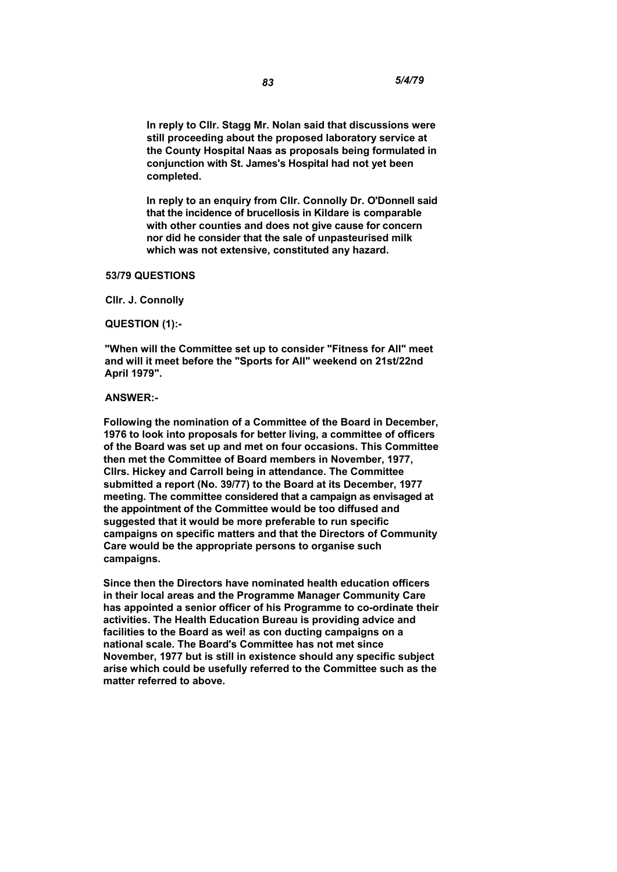**In reply to Cllr. Stagg Mr. Nolan said that discussions were still proceeding about the proposed laboratory service at the County Hospital Naas as proposals being formulated in conjunction with St. James's Hospital had not yet been completed.** 

**In reply to an enquiry from Cllr. Connolly Dr. O'Donnell said that the incidence of brucellosis in Kildare is comparable with other counties and does not give cause for concern nor did he consider that the sale of unpasteurised milk which was not extensive, constituted any hazard.** 

#### **53/79 QUESTIONS**

**Cllr. J. Connolly** 

**QUESTION (1):-** 

**"When will the Committee set up to consider "Fitness for All" meet and will it meet before the "Sports for All" weekend on 21st/22nd April 1979".** 

### **ANSWER:-**

**Following the nomination of a Committee of the Board in December, 1976 to look into proposals for better living, a committee of officers of the Board was set up and met on four occasions. This Committee then met the Committee of Board members in November, 1977, Cllrs. Hickey and Carroll being in attendance. The Committee submitted a report (No. 39/77) to the Board at its December, 1977 meeting. The committee considered that a campaign as envisaged at the appointment of the Committee would be too diffused and suggested that it would be more preferable to run specific campaigns on specific matters and that the Directors of Community Care would be the appropriate persons to organise such campaigns.** 

**Since then the Directors have nominated health education officers in their local areas and the Programme Manager Community Care has appointed a senior officer of his Programme to co-ordinate their activities. The Health Education Bureau is providing advice and facilities to the Board as wei! as con ducting campaigns on a national scale. The Board's Committee has not met since November, 1977 but is still in existence should any specific subject arise which could be usefully referred to the Committee such as the matter referred to above.**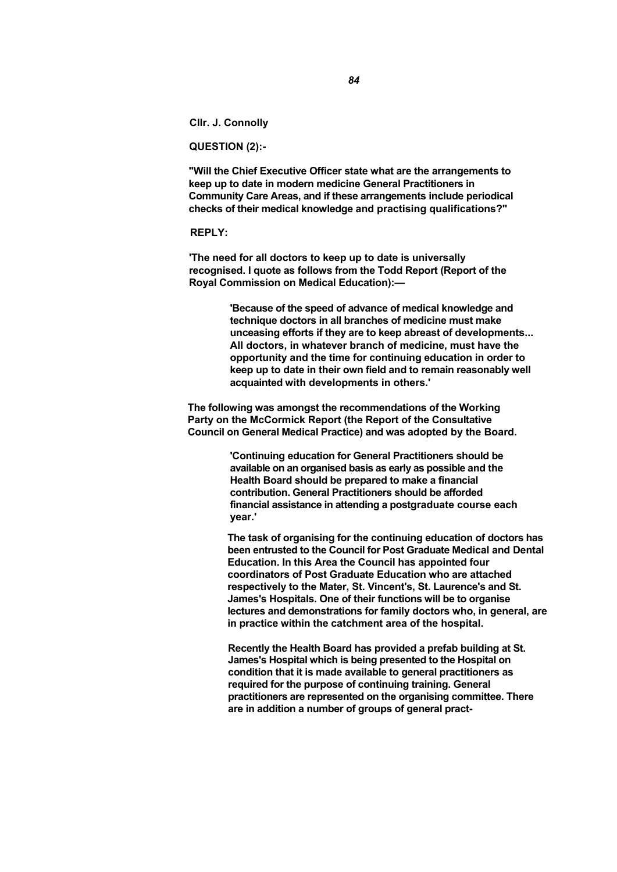**Cllr. J. Connolly** 

**QUESTION (2):-** 

**"Will the Chief Executive Officer state what are the arrangements to keep up to date in modern medicine General Practitioners in Community Care Areas, and if these arrangements include periodical checks of their medical knowledge and practising qualifications?"** 

#### **REPLY:**

**'The need for all doctors to keep up to date is universally recognised. I quote as follows from the Todd Report (Report of the Royal Commission on Medical Education):—** 

> **'Because of the speed of advance of medical knowledge and technique doctors in all branches of medicine must make unceasing efforts if they are to keep abreast of developments... All doctors, in whatever branch of medicine, must have the opportunity and the time for continuing education in order to keep up to date in their own field and to remain reasonably well acquainted with developments in others.'**

**The following was amongst the recommendations of the Working Party on the McCormick Report (the Report of the Consultative Council on General Medical Practice) and was adopted by the Board.** 

> **'Continuing education for General Practitioners should be available on an organised basis as early as possible and the Health Board should be prepared to make a financial contribution. General Practitioners should be afforded financial assistance in attending a postgraduate course each year.'**

**The task of organising for the continuing education of doctors has been entrusted to the Council for Post Graduate Medical and Dental Education. In this Area the Council has appointed four coordinators of Post Graduate Education who are attached respectively to the Mater, St. Vincent's, St. Laurence's and St. James's Hospitals. One of their functions will be to organise lectures and demonstrations for family doctors who, in general, are in practice within the catchment area of the hospital.** 

**Recently the Health Board has provided a prefab building at St. James's Hospital which is being presented to the Hospital on condition that it is made available to general practitioners as required for the purpose of continuing training. General practitioners are represented on the organising committee. There are in addition a number of groups of general pract-**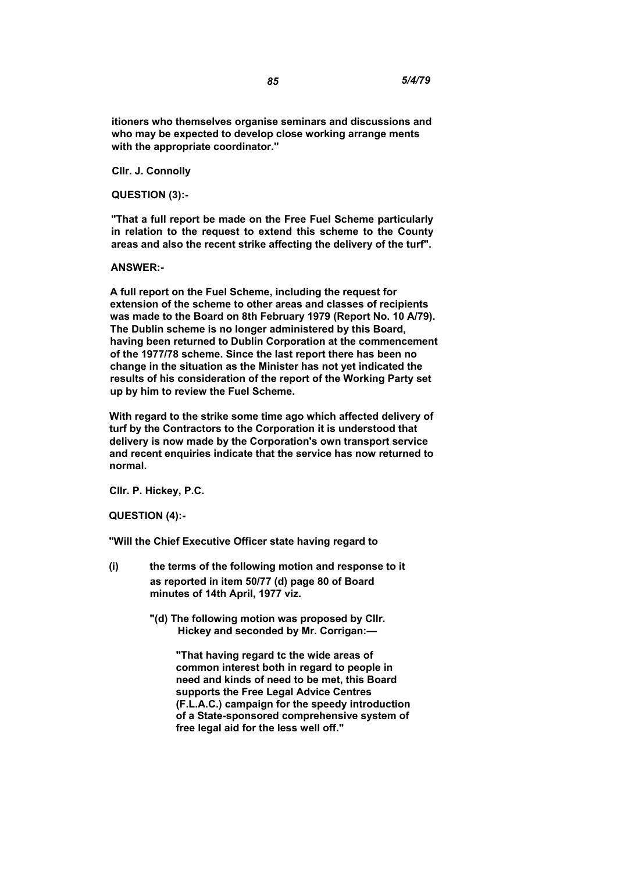**itioners who themselves organise seminars and discussions and who may be expected to develop close working arrange ments with the appropriate coordinator."** 

**Cllr. J. Connolly** 

**QUESTION (3):-** 

**"That a full report be made on the Free Fuel Scheme particularly in relation to the request to extend this scheme to the County areas and also the recent strike affecting the delivery of the turf".** 

## **ANSWER:-**

**A full report on the Fuel Scheme, including the request for extension of the scheme to other areas and classes of recipients was made to the Board on 8th February 1979 (Report No. 10 A/79). The Dublin scheme is no longer administered by this Board, having been returned to Dublin Corporation at the commencement of the 1977/78 scheme. Since the last report there has been no change in the situation as the Minister has not yet indicated the results of his consideration of the report of the Working Party set up by him to review the Fuel Scheme.** 

**With regard to the strike some time ago which affected delivery of turf by the Contractors to the Corporation it is understood that delivery is now made by the Corporation's own transport service and recent enquiries indicate that the service has now returned to normal.** 

**Cllr. P. Hickey, P.C.** 

**QUESTION (4):-** 

**"Will the Chief Executive Officer state having regard to** 

- **(i) the terms of the following motion and response to it as reported in item 50/77 (d) page 80 of Board minutes of 14th April, 1977 viz.** 
	- **"(d) The following motion was proposed by Cllr. Hickey and seconded by Mr. Corrigan:—**

**"That having regard tc the wide areas of common interest both in regard to people in need and kinds of need to be met, this Board supports the Free Legal Advice Centres (F.L.A.C.) campaign for the speedy introduction of a State-sponsored comprehensive system of free legal aid for the less well off."**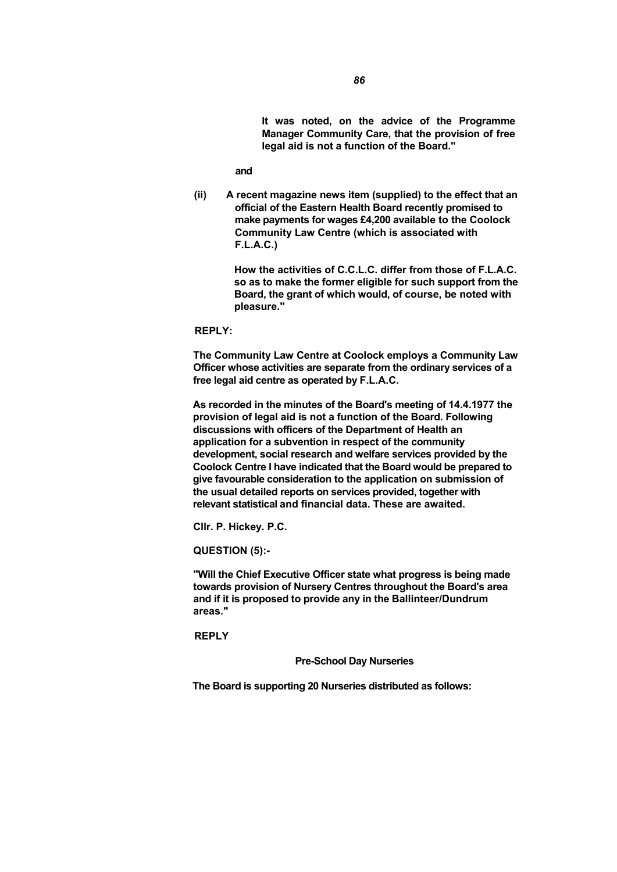**It was noted, on the advice of the Programme Manager Community Care, that the provision of free legal aid is not a function of the Board."** 

**and** 

**(ii) A recent magazine news item (supplied) to the effect that an official of the Eastern Health Board recently promised to make payments for wages £4,200 available to the Coolock Community Law Centre (which is associated with F.L.A.C.)** 

> **How the activities of C.C.L.C. differ from those of F.L.A.C. so as to make the former eligible for such support from the Board, the grant of which would, of course, be noted with pleasure."**

**REPLY:** 

**The Community Law Centre at Coolock employs a Community Law Officer whose activities are separate from the ordinary services of a free legal aid centre as operated by F.L.A.C.** 

**As recorded in the minutes of the Board's meeting of 14.4.1977 the provision of legal aid is not a function of the Board. Following discussions with officers of the Department of Health an application for a subvention in respect of the community development, social research and welfare services provided by the Coolock Centre I have indicated that the Board would be prepared to give favourable consideration to the application on submission of the usual detailed reports on services provided, together with relevant statistical and financial data. These are awaited.** 

**Cllr. P. Hickey. P.C.** 

**QUESTION (5):-** 

**"Will the Chief Executive Officer state what progress is being made towards provision of Nursery Centres throughout the Board's area and if it is proposed to provide any in the Ballinteer/Dundrum areas."** 

**REPLY** 

**Pre-School Day Nurseries** 

**The Board is supporting 20 Nurseries distributed as follows:**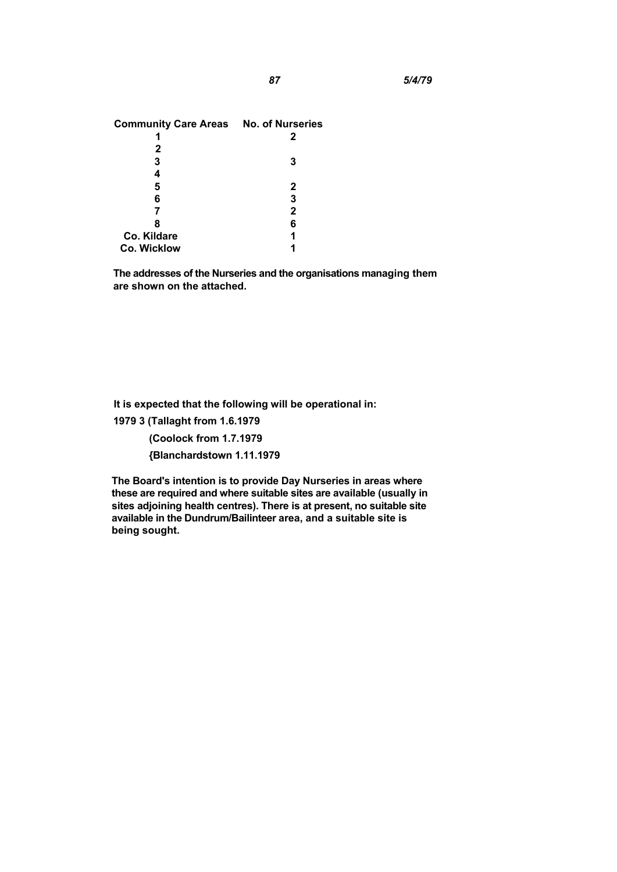| <b>Community Care Areas No. of Nurseries</b> |   |
|----------------------------------------------|---|
|                                              | 2 |
| 2                                            |   |
| 3                                            |   |
| 4                                            |   |
| 5                                            | 2 |
| 6                                            | З |
|                                              | 2 |
| 8                                            | 6 |
| Co. Kildare                                  |   |
| <b>Co. Wicklow</b>                           |   |

**The addresses of the Nurseries and the organisations managing them are shown on the attached.** 

**It is expected that the following will be operational in:** 

**1979 3 (Tallaght from 1.6.1979** 

**(Coolock from 1.7.1979** 

**{Blanchardstown 1.11.1979** 

**The Board's intention is to provide Day Nurseries in areas where these are required and where suitable sites are available (usually in sites adjoining health centres). There is at present, no suitable site available in the Dundrum/Bailinteer area, and a suitable site is being sought.**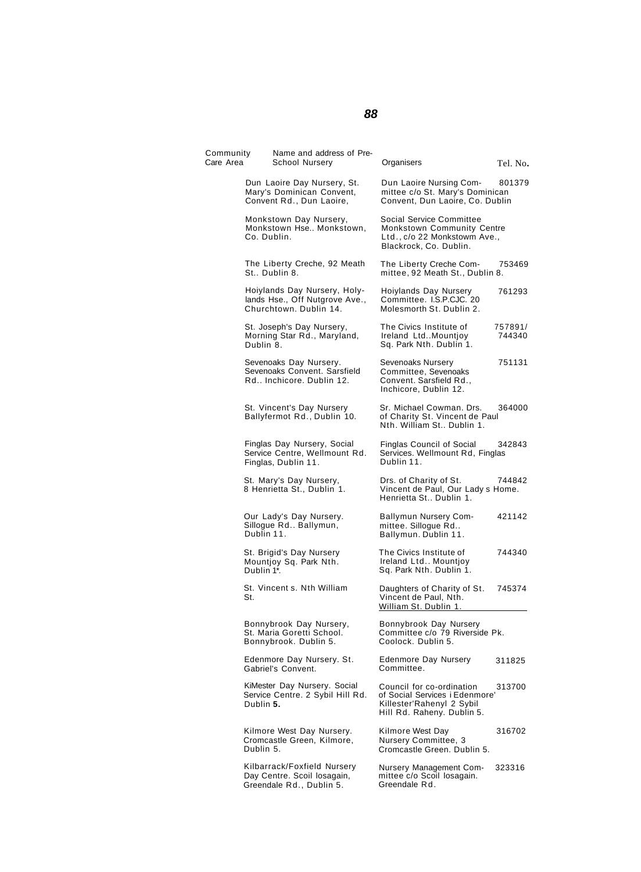# **88**

| Community<br>Care Area | Name and address of Pre-<br>School Nursery                                               | Organisers                                                                                                             | Tel. No.          |
|------------------------|------------------------------------------------------------------------------------------|------------------------------------------------------------------------------------------------------------------------|-------------------|
|                        | Dun Laoire Day Nursery, St.<br>Mary's Dominican Convent,<br>Convent Rd., Dun Laoire,     | Dun Laoire Nursing Com-<br>mittee c/o St. Mary's Dominican<br>Convent, Dun Laoire, Co. Dublin                          | 801379            |
|                        | Monkstown Day Nursery,<br>Monkstown Hse Monkstown,<br>Co. Dublin.                        | Social Service Committee<br>Monkstown Community Centre<br>Ltd., c/o 22 Monkstowm Ave.,<br>Blackrock, Co. Dublin.       |                   |
|                        | The Liberty Creche, 92 Meath<br>St., Dublin 8.                                           | The Liberty Creche Com-<br>mittee, 92 Meath St., Dublin 8.                                                             | 753469            |
|                        | Hoiylands Day Nursery, Holy-<br>lands Hse., Off Nutgrove Ave.,<br>Churchtown, Dublin 14. | Hoiylands Day Nursery<br>Committee. I.S.P.CJC. 20<br>Molesmorth St. Dublin 2.                                          | 761293            |
|                        | St. Joseph's Day Nursery,<br>Morning Star Rd., Maryland,<br>Dublin 8.                    | The Civics Institute of<br>Ireland LtdMountjoy<br>Sq. Park Nth. Dublin 1.                                              | 757891/<br>744340 |
|                        | Sevenoaks Day Nursery.<br>Sevenoaks Convent, Sarsfield<br>Rd Inchicore. Dublin 12.       | Sevenoaks Nursery<br>Committee, Sevenoaks<br>Convent. Sarsfield Rd.,<br>Inchicore, Dublin 12.                          | 751131            |
|                        | St. Vincent's Day Nursery<br>Ballyfermot Rd., Dublin 10.                                 | Sr. Michael Cowman. Drs.<br>of Charity St. Vincent de Paul<br>Nth. William St., Dublin 1.                              | 364000            |
|                        | Finglas Day Nursery, Social<br>Service Centre, Wellmount Rd.<br>Finglas, Dublin 11.      | Finglas Council of Social<br>Services. Wellmount Rd, Finglas<br>Dublin 11.                                             | 342843            |
|                        | St. Mary's Day Nursery,<br>8 Henrietta St., Dublin 1.                                    | Drs. of Charity of St.<br>Vincent de Paul, Our Lady s Home.<br>Henrietta St Dublin 1.                                  | 744842            |
|                        | Our Lady's Day Nursery.<br>Sillogue Rd Ballymun,<br>Dublin 11.                           | Ballymun Nursery Com-<br>mittee. Sillogue Rd<br>Ballymun. Dublin 11.                                                   | 421142            |
|                        | St. Brigid's Day Nursery<br>Mountjoy Sq. Park Nth.<br>Dublin 1*.                         | The Civics Institute of<br>Ireland Ltd Mountjoy<br>Sq. Park Nth. Dublin 1.                                             | 744340            |
| St.                    | St. Vincent s. Nth William                                                               | Daughters of Charity of St.<br>Vincent de Paul, Nth.<br>William St. Dublin 1.                                          | 745374            |
|                        | Bonnybrook Day Nursery,<br>St. Maria Goretti School.<br>Bonnybrook. Dublin 5.            | Bonnybrook Day Nursery<br>Committee c/o 79 Riverside Pk.<br>Coolock. Dublin 5.                                         |                   |
|                        | Edenmore Day Nursery. St.<br>Gabriel's Convent.                                          | <b>Edenmore Day Nursery</b><br>Committee.                                                                              | 311825            |
|                        | KiMester Day Nursery. Social<br>Service Centre. 2 Sybil Hill Rd.<br>Dublin 5.            | Council for co-ordination<br>of Social Services i Edenmore'<br>Killester'Rahenyl 2 Sybil<br>Hill Rd. Raheny. Dublin 5. | 313700            |
|                        | Kilmore West Day Nursery.<br>Cromcastle Green, Kilmore,<br>Dublin 5.                     | Kilmore West Day<br>Nursery Committee, 3<br>Cromcastle Green. Dublin 5.                                                | 316702            |
|                        | Kilbarrack/Foxfield Nursery<br>Day Centre. Scoil losagain,<br>Greendale Rd., Dublin 5.   | Nursery Management Com-<br>mittee c/o Scoil losagain.<br>Greendale Rd.                                                 | 323316            |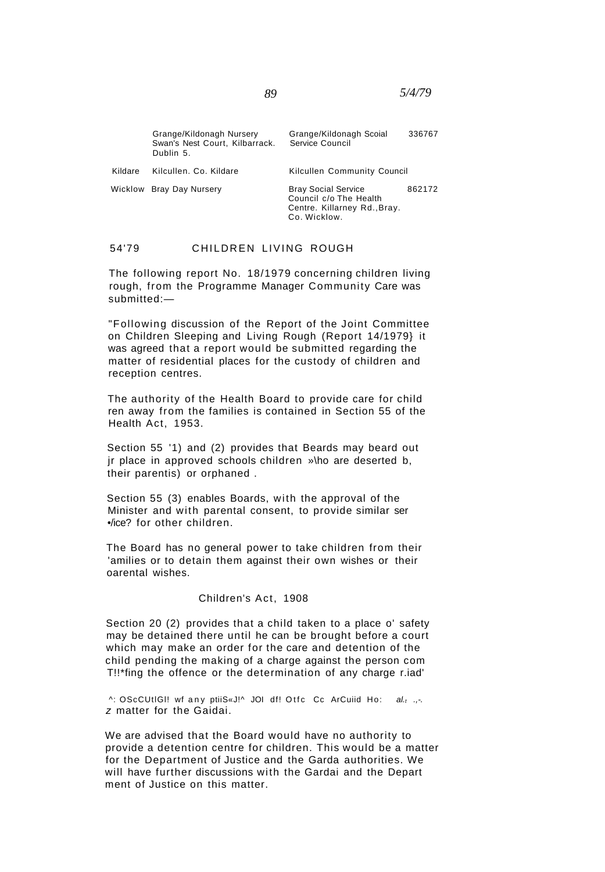|         | Grange/Kildonagh Nursery<br>Swan's Nest Court, Kilbarrack.<br>Dublin 5. | Grange/Kildonagh Scoial<br>Service Council                                           | 336767 |
|---------|-------------------------------------------------------------------------|--------------------------------------------------------------------------------------|--------|
| Kildare | Kilcullen, Co. Kildare                                                  | Kilcullen Community Council                                                          |        |
|         | Wicklow Bray Day Nursery                                                | <b>Bray Social Service</b><br>Council c/o The Health<br>Centre. Killarney Rd., Bray. | 862172 |

Co. Wicklow.

## 54'79 CHILDREN LIVING ROUGH

The following report No. 18/1979 concerning children living rough, from the Programme Manager Community Care was submitted:—

"Following discussion of the Report of the Joint Committee on Children Sleeping and Living Rough (Report 14/1979} it was agreed that a report would be submitted regarding the matter of residential places for the custody of children and reception centres.

The authority of the Health Board to provide care for child ren away from the families is contained in Section 55 of the Health Act, 1953.

Section 55 '1) and (2) provides that Beards may beard out jr place in approved schools children »\ho are deserted b, their parentis) or orphaned .

Section 55 (3) enables Boards, with the approval of the Minister and with parental consent, to provide similar ser •/ice? for other children.

The Board has no general power to take children from their 'amilies or to detain them against their own wishes or their oarental wishes.

## Children's Act, 1908

Section 20 (2) provides that a child taken to a place o' safety may be detained there until he can be brought before a court which may make an order for the care and detention of the child pending the making of a charge against the person com T!!\*fing the offence or the determination of any charge r.iad'

^: OScCUtIGI! wf any ptiiS«J!^ JOI df! Otfc Cc ArCuiid Ho: al.t .,-. z matter for the Gaidai.

We are advised that the Board would have no authority to provide a detention centre for children. This would be a matter for the Department of Justice and the Garda authorities. We will have further discussions with the Gardai and the Depart ment of Justice on this matter.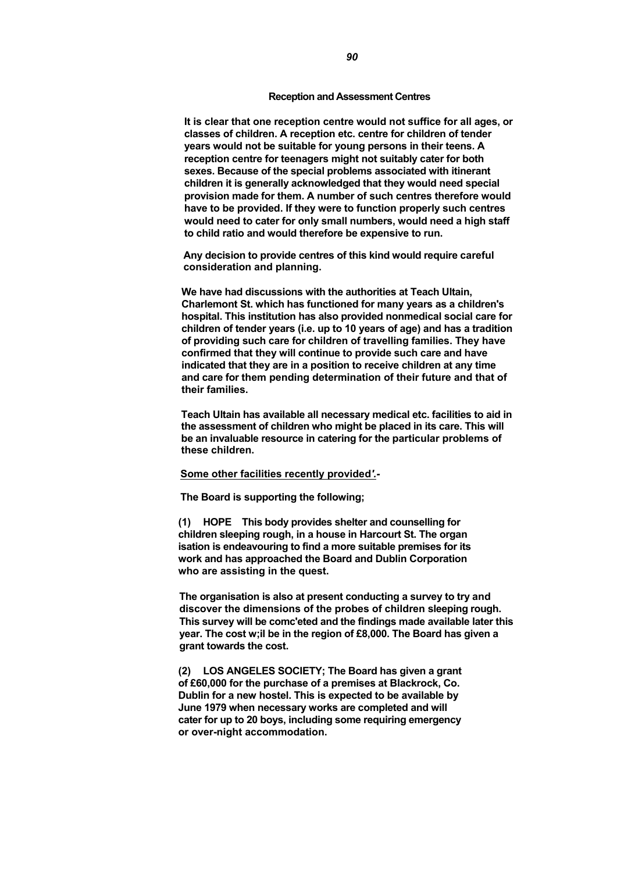## **Reception and Assessment Centres**

**It is clear that one reception centre would not suffice for all ages, or classes of children. A reception etc. centre for children of tender years would not be suitable for young persons in their teens. A reception centre for teenagers might not suitably cater for both sexes. Because of the special problems associated with itinerant children it is generally acknowledged that they would need special provision made for them. A number of such centres therefore would have to be provided. If they were to function properly such centres would need to cater for only small numbers, would need a high staff to child ratio and would therefore be expensive to run.** 

**Any decision to provide centres of this kind would require careful consideration and planning.** 

**We have had discussions with the authorities at Teach Ultain, Charlemont St. which has functioned for many years as a children's hospital. This institution has also provided nonmedical social care for children of tender years (i.e. up to 10 years of age) and has a tradition of providing such care for children of travelling families. They have confirmed that they will continue to provide such care and have indicated that they are in a position to receive children at any time and care for them pending determination of their future and that of their families.** 

**Teach Ultain has available all necessary medical etc. facilities to aid in the assessment of children who might be placed in its care. This will be an invaluable resource in catering for the particular problems of these children.** 

## **Some other facilities recently provided***'.-*

**The Board is supporting the following;** 

**(1) HOPE This body provides shelter and counselling for children sleeping rough, in a house in Harcourt St. The organ isation is endeavouring to find a more suitable premises for its work and has approached the Board and Dublin Corporation who are assisting in the quest.** 

**The organisation is also at present conducting a survey to try and discover the dimensions of the probes of children sleeping rough. This survey will be comc'eted and the findings made available later this year. The cost w;il be in the region of £8,000. The Board has given a grant towards the cost.** 

**(2) LOS ANGELES SOCIETY; The Board has given a grant of £60,000 for the purchase of a premises at Blackrock, Co. Dublin for a new hostel. This is expected to be available by June 1979 when necessary works are completed and will cater for up to 20 boys, including some requiring emergency or over-night accommodation.**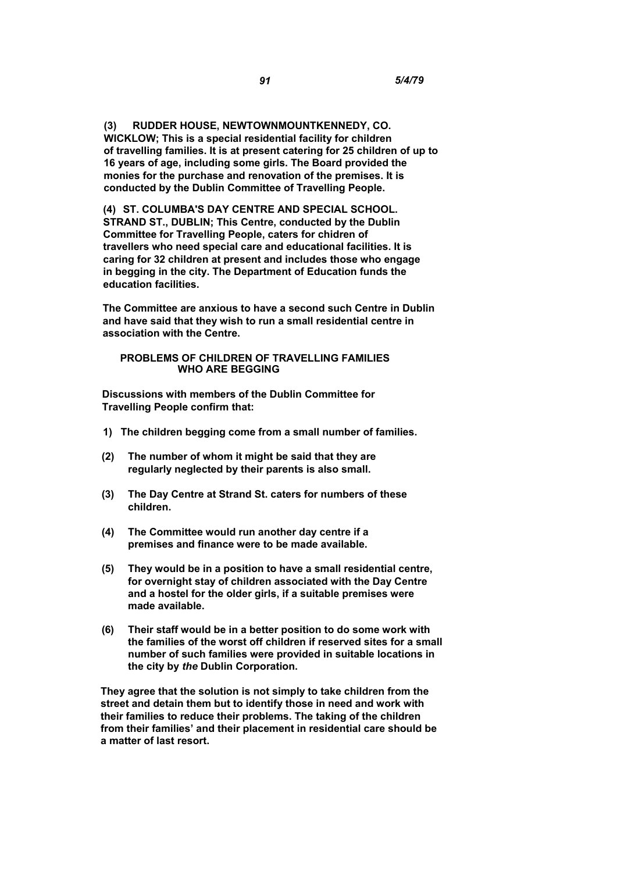**(3) RUDDER HOUSE, NEWTOWNMOUNTKENNEDY, CO. WICKLOW; This is a special residential facility for children of travelling families. It is at present catering for 25 children of up to 16 years of age, including some girls. The Board provided the monies for the purchase and renovation of the premises. It is conducted by the Dublin Committee of Travelling People.** 

**(4) ST. COLUMBA'S DAY CENTRE AND SPECIAL SCHOOL. STRAND ST., DUBLIN; This Centre, conducted by the Dublin Committee for Travelling People, caters for chidren of travellers who need special care and educational facilities. It is caring for 32 children at present and includes those who engage in begging in the city. The Department of Education funds the education facilities.** 

**The Committee are anxious to have a second such Centre in Dublin and have said that they wish to run a small residential centre in association with the Centre.** 

## **PROBLEMS OF CHILDREN OF TRAVELLING FAMILIES WHO ARE BEGGING**

**Discussions with members of the Dublin Committee for Travelling People confirm that:** 

- **1) The children begging come from a small number of families.**
- **(2) The number of whom it might be said that they are regularly neglected by their parents is also small.**
- **(3) The Day Centre at Strand St. caters for numbers of these children.**
- **(4) The Committee would run another day centre if a premises and finance were to be made available.**
- **(5) They would be in a position to have a small residential centre, for overnight stay of children associated with the Day Centre and a hostel for the older girls, if a suitable premises were made available.**
- **(6) Their staff would be in a better position to do some work with the families of the worst off children if reserved sites for a small number of such families were provided in suitable locations in the city by** *the* **Dublin Corporation.**

**They agree that the solution is not simply to take children from the street and detain them but to identify those in need and work with their families to reduce their problems. The taking of the children from their families' and their placement in residential care should be a matter of last resort.**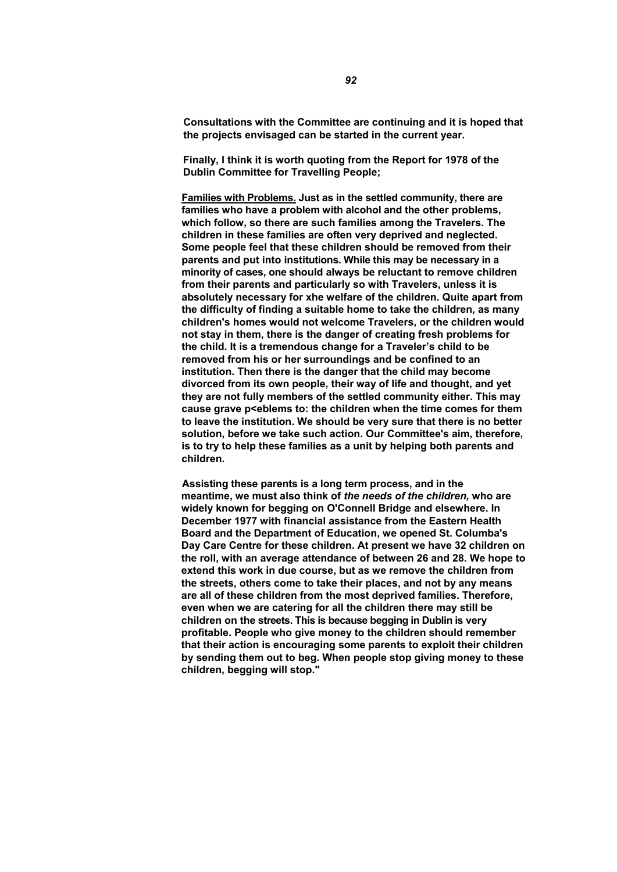**Consultations with the Committee are continuing and it is hoped that the projects envisaged can be started in the current year.** 

**Finally, I think it is worth quoting from the Report for 1978 of the Dublin Committee for Travelling People;** 

**Families with Problems. Just as in the settled community, there are families who have a problem with alcohol and the other problems, which follow, so there are such families among the Travelers. The children in these families are often very deprived and neglected. Some people feel that these children should be removed from their parents and put into institutions. While this may be necessary in a minority of cases, one should always be reluctant to remove children from their parents and particularly so with Travelers, unless it is absolutely necessary for xhe welfare of the children. Quite apart from the difficulty of finding a suitable home to take the children, as many children's homes would not welcome Travelers, or the children would not stay in them, there is the danger of creating fresh problems for the child. It is a tremendous change for a Traveler's child to be removed from his or her surroundings and be confined to an institution. Then there is the danger that the child may become divorced from its own people, their way of life and thought, and yet they are not fully members of the settled community either. This may cause grave p<eblems to: the children when the time comes for them to leave the institution. We should be very sure that there is no better solution, before we take such action. Our Committee's aim, therefore, is to try to help these families as a unit by helping both parents and children.** 

**Assisting these parents is a long term process, and in the meantime, we must also think of** *the needs of the children,* **who are widely known for begging on O'Connell Bridge and elsewhere. In December 1977 with financial assistance from the Eastern Health Board and the Department of Education, we opened St. Columba's Day Care Centre for these children. At present we have 32 children on the roll, with an average attendance of between 26 and 28. We hope to extend this work in due course, but as we remove the children from the streets, others come to take their places, and not by any means are all of these children from the most deprived families. Therefore, even when we are catering for all the children there may still be children on the streets. This is because begging in Dublin is very profitable. People who give money to the children should remember that their action is encouraging some parents to exploit their children by sending them out to beg. When people stop giving money to these children, begging will stop."**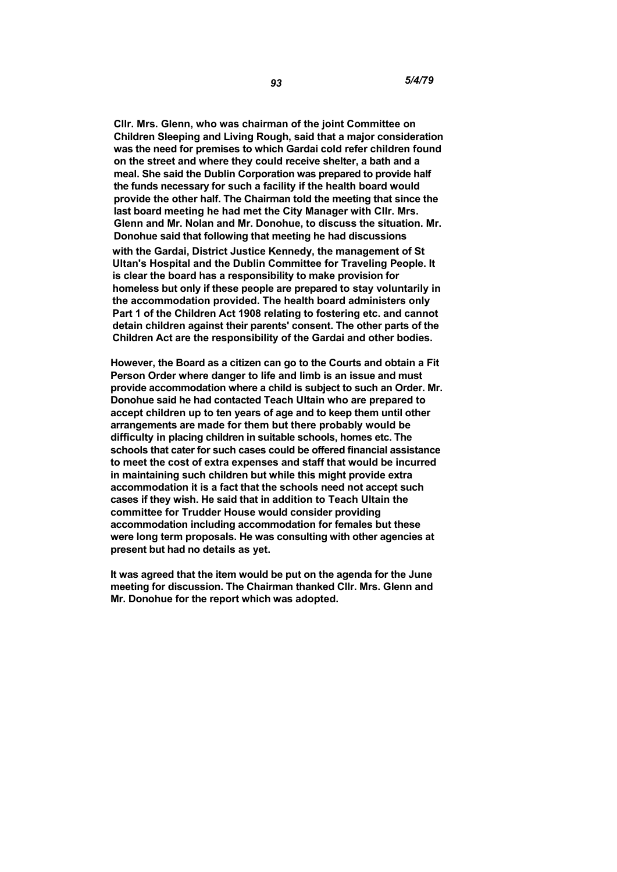**Cllr. Mrs. Glenn, who was chairman of the joint Committee on Children Sleeping and Living Rough, said that a major consideration was the need for premises to which Gardai cold refer children found on the street and where they could receive shelter, a bath and a meal. She said the Dublin Corporation was prepared to provide half the funds necessary for such a facility if the health board would provide the other half. The Chairman told the meeting that since the last board meeting he had met the City Manager with Cllr. Mrs. Glenn and Mr. Nolan and Mr. Donohue, to discuss the situation. Mr. Donohue said that following that meeting he had discussions with the Gardai, District Justice Kennedy, the management of St Ultan's Hospital and the Dublin Committee for Traveling People. It is clear the board has a responsibility to make provision for homeless but only if these people are prepared to stay voluntarily in the accommodation provided. The health board administers only Part 1 of the Children Act 1908 relating to fostering etc. and cannot detain children against their parents' consent. The other parts of the Children Act are the responsibility of the Gardai and other bodies.** 

**However, the Board as a citizen can go to the Courts and obtain a Fit Person Order where danger to life and limb is an issue and must provide accommodation where a child is subject to such an Order. Mr. Donohue said he had contacted Teach Ultain who are prepared to accept children up to ten years of age and to keep them until other arrangements are made for them but there probably would be difficulty in placing children in suitable schools, homes etc. The schools that cater for such cases could be offered financial assistance to meet the cost of extra expenses and staff that would be incurred in maintaining such children but while this might provide extra accommodation it is a fact that the schools need not accept such cases if they wish. He said that in addition to Teach Ultain the committee for Trudder House would consider providing accommodation including accommodation for females but these were long term proposals. He was consulting with other agencies at present but had no details as yet.** 

**It was agreed that the item would be put on the agenda for the June meeting for discussion. The Chairman thanked Cllr. Mrs. Glenn and Mr. Donohue for the report which was adopted.**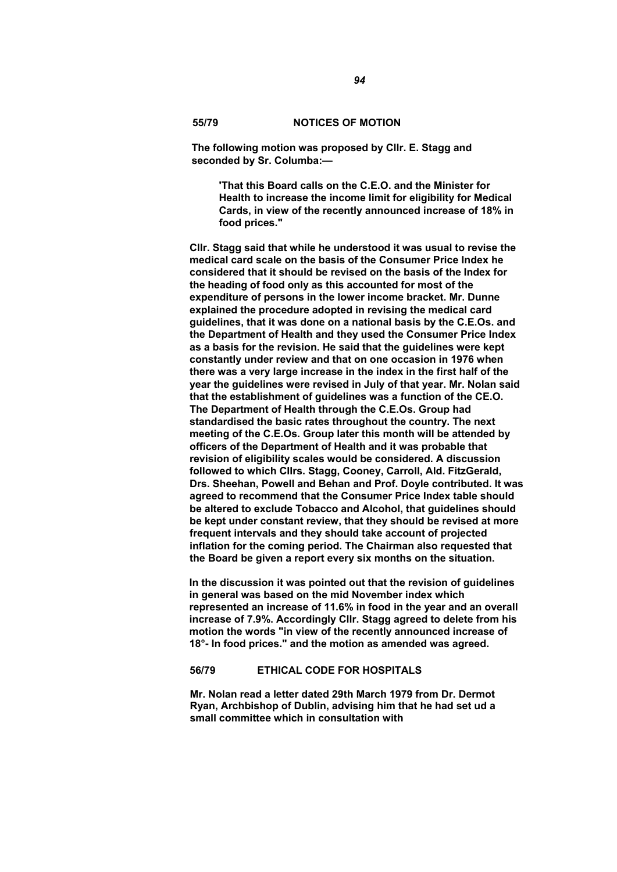## **55/79 NOTICES OF MOTION**

**The following motion was proposed by Cllr. E. Stagg and seconded by Sr. Columba:—** 

**'That this Board calls on the C.E.O. and the Minister for Health to increase the income limit for eligibility for Medical Cards, in view of the recently announced increase of 18% in food prices."** 

**Cllr. Stagg said that while he understood it was usual to revise the medical card scale on the basis of the Consumer Price Index he considered that it should be revised on the basis of the Index for the heading of food only as this accounted for most of the expenditure of persons in the lower income bracket. Mr. Dunne explained the procedure adopted in revising the medical card guidelines, that it was done on a national basis by the C.E.Os. and the Department of Health and they used the Consumer Price Index as a basis for the revision. He said that the guidelines were kept constantly under review and that on one occasion in 1976 when there was a very large increase in the index in the first half of the year the guidelines were revised in July of that year. Mr. Nolan said that the establishment of guidelines was a function of the CE.O. The Department of Health through the C.E.Os. Group had standardised the basic rates throughout the country. The next meeting of the C.E.Os. Group later this month will be attended by officers of the Department of Health and it was probable that revision of eligibility scales would be considered. A discussion followed to which CIIrs. Stagg, Cooney, Carroll, Ald. FitzGerald, Drs. Sheehan, Powell and Behan and Prof. Doyle contributed. It was agreed to recommend that the Consumer Price Index table should be altered to exclude Tobacco and Alcohol, that guidelines should be kept under constant review, that they should be revised at more frequent intervals and they should take account of projected inflation for the coming period. The Chairman also requested that the Board be given a report every six months on the situation.** 

**In the discussion it was pointed out that the revision of guidelines in general was based on the mid November index which represented an increase of 11.6% in food in the year and an overall increase of 7.9%. Accordingly Cllr. Stagg agreed to delete from his motion the words "in view of the recently announced increase of 18°- In food prices." and the motion as amended was agreed.** 

## **56/79 ETHICAL CODE FOR HOSPITALS**

**Mr. Nolan read a letter dated 29th March 1979 from Dr. Dermot Ryan, Archbishop of Dublin, advising him that he had set ud a small committee which in consultation with**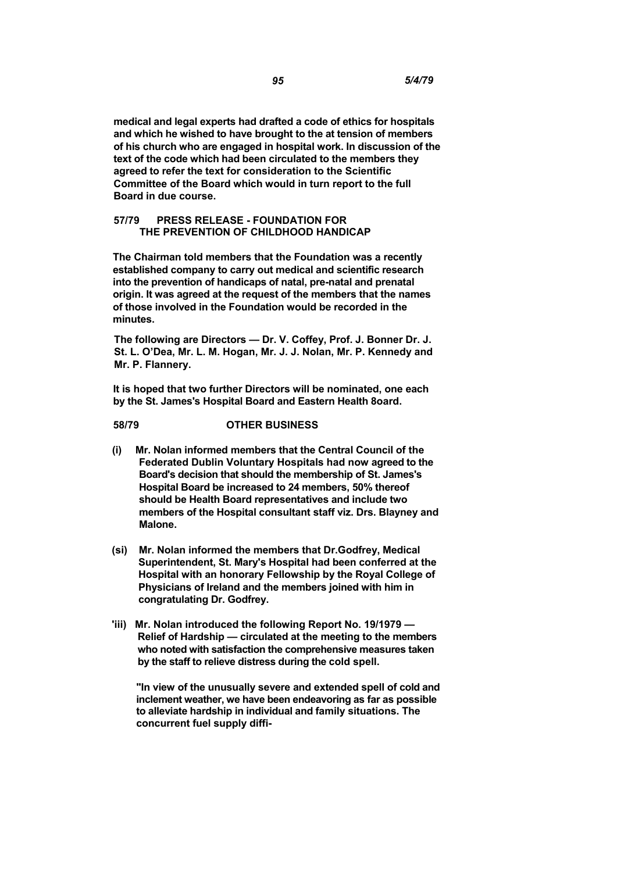**medical and legal experts had drafted a code of ethics for hospitals and which he wished to have brought to the at tension of members of his church who are engaged in hospital work. In discussion of the text of the code which had been circulated to the members they agreed to refer the text for consideration to the Scientific Committee of the Board which would in turn report to the full Board in due course.** 

## **57/79 PRESS RELEASE - FOUNDATION FOR THE PREVENTION OF CHILDHOOD HANDICAP**

**The Chairman told members that the Foundation was a recently established company to carry out medical and scientific research into the prevention of handicaps of natal, pre-natal and prenatal origin. It was agreed at the request of the members that the names of those involved in the Foundation would be recorded in the minutes.** 

**The following are Directors — Dr. V. Coffey, Prof. J. Bonner Dr. J. St. L. O'Dea, Mr. L. M. Hogan, Mr. J. J. Nolan, Mr. P. Kennedy and Mr. P. Flannery.** 

**It is hoped that two further Directors will be nominated, one each by the St. James's Hospital Board and Eastern Health 8oard.** 

# **58/79 OTHER BUSINESS**

- **(i) Mr. Nolan informed members that the Central Council of the Federated Dublin Voluntary Hospitals had now agreed to the Board's decision that should the membership of St. James's Hospital Board be increased to 24 members, 50% thereof should be Health Board representatives and include two members of the Hospital consultant staff viz. Drs. Blayney and Malone.**
- **(si) Mr. Nolan informed the members that Dr.Godfrey, Medical Superintendent, St. Mary's Hospital had been conferred at the Hospital with an honorary Fellowship by the Royal College of Physicians of Ireland and the members joined with him in congratulating Dr. Godfrey.**
- **'iii) Mr. Nolan introduced the following Report No. 19/1979 Relief of Hardship — circulated at the meeting to the members who noted with satisfaction the comprehensive measures taken by the staff to relieve distress during the cold spell.**

**"In view of the unusually severe and extended spell of cold and inclement weather, we have been endeavoring as far as possible to alleviate hardship in individual and family situations. The concurrent fuel supply diffi-**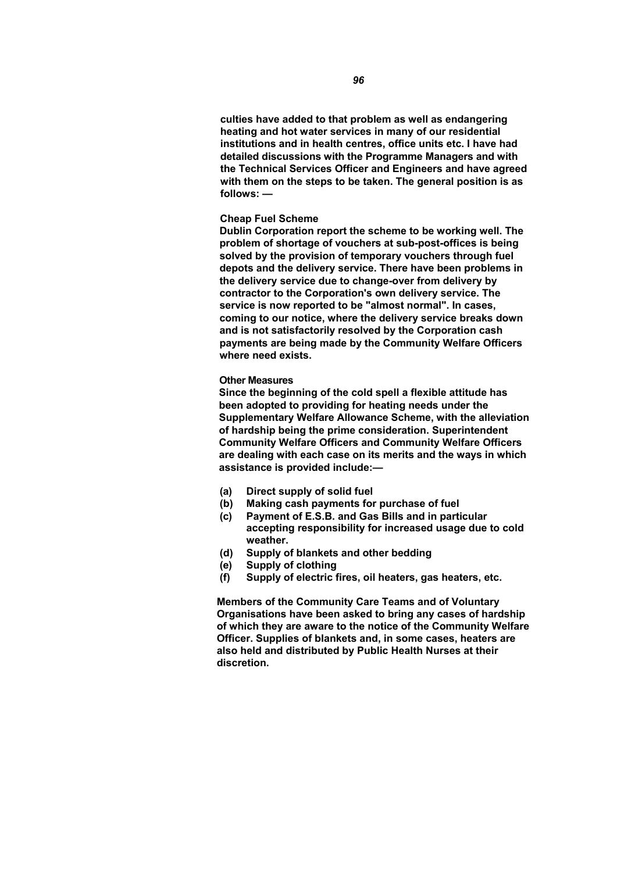**culties have added to that problem as well as endangering heating and hot water services in many of our residential institutions and in health centres, office units etc. I have had detailed discussions with the Programme Managers and with the Technical Services Officer and Engineers and have agreed with them on the steps to be taken. The general position is as follows: —** 

## **Cheap Fuel Scheme**

**Dublin Corporation report the scheme to be working well. The problem of shortage of vouchers at sub-post-offices is being solved by the provision of temporary vouchers through fuel depots and the delivery service. There have been problems in the delivery service due to change-over from delivery by contractor to the Corporation's own delivery service. The service is now reported to be "almost normal". In cases, coming to our notice, where the delivery service breaks down and is not satisfactorily resolved by the Corporation cash payments are being made by the Community Welfare Officers where need exists.** 

### **Other Measures**

**Since the beginning of the cold spell a flexible attitude has been adopted to providing for heating needs under the Supplementary Welfare Allowance Scheme, with the alleviation of hardship being the prime consideration. Superintendent Community Welfare Officers and Community Welfare Officers are dealing with each case on its merits and the ways in which assistance is provided include:—** 

- **(a) Direct supply of solid fuel**
- **(b) Making cash payments for purchase of fuel**
- **(c) Payment of E.S.B. and Gas Bills and in particular accepting responsibility for increased usage due to cold weather.**
- **(d) Supply of blankets and other bedding**
- **(e) Supply of clothing**
- **(f) Supply of electric fires, oil heaters, gas heaters, etc.**

**Members of the Community Care Teams and of Voluntary Organisations have been asked to bring any cases of hardship of which they are aware to the notice of the Community Welfare Officer. Supplies of blankets and, in some cases, heaters are also held and distributed by Public Health Nurses at their discretion.**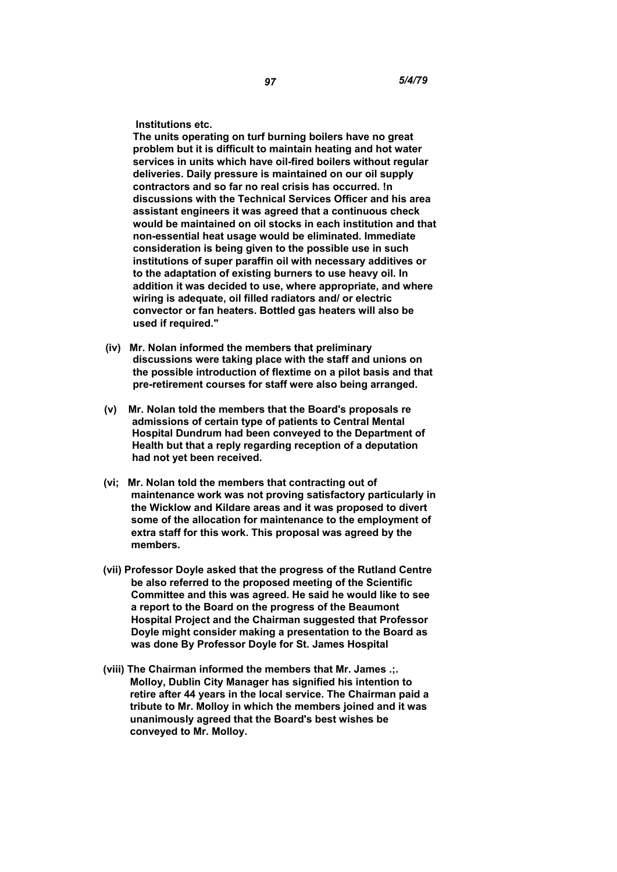**Institutions etc.** 

**The units operating on turf burning boilers have no great problem but it is difficult to maintain heating and hot water services in units which have oil-fired boilers without regular deliveries. Daily pressure is maintained on our oil supply contractors and so far no real crisis has occurred. !n discussions with the Technical Services Officer and his area assistant engineers it was agreed that a continuous check would be maintained on oil stocks in each institution and that non-essential heat usage would be eliminated. Immediate consideration is being given to the possible use in such institutions of super paraffin oil with necessary additives or to the adaptation of existing burners to use heavy oil. In addition it was decided to use, where appropriate, and where wiring is adequate, oil filled radiators and/ or electric convector or fan heaters. Bottled gas heaters will also be used if required."** 

- **(iv) Mr. Nolan informed the members that preliminary discussions were taking place with the staff and unions on the possible introduction of flextime on a pilot basis and that pre-retirement courses for staff were also being arranged.**
- **(v) Mr. Nolan told the members that the Board's proposals re admissions of certain type of patients to Central Mental Hospital Dundrum had been conveyed to the Department of Health but that a reply regarding reception of a deputation had not yet been received.**
- **(vi; Mr. Nolan told the members that contracting out of maintenance work was not proving satisfactory particularly in the Wicklow and Kildare areas and it was proposed to divert some of the allocation for maintenance to the employment of extra staff for this work. This proposal was agreed by the members.**
- **(vii) Professor Doyle asked that the progress of the Rutland Centre be also referred to the proposed meeting of the Scientific Committee and this was agreed. He said he would like to see a report to the Board on the progress of the Beaumont Hospital Project and the Chairman suggested that Professor Doyle might consider making a presentation to the Board as was done By Professor Doyle for St. James Hospital**
- **(viii) The Chairman informed the members that Mr. James .;. Molloy, Dublin City Manager has signified his intention to retire after 44 years in the local service. The Chairman paid a tribute to Mr. Molloy in which the members joined and it was unanimously agreed that the Board's best wishes be conveyed to Mr. Molloy.**